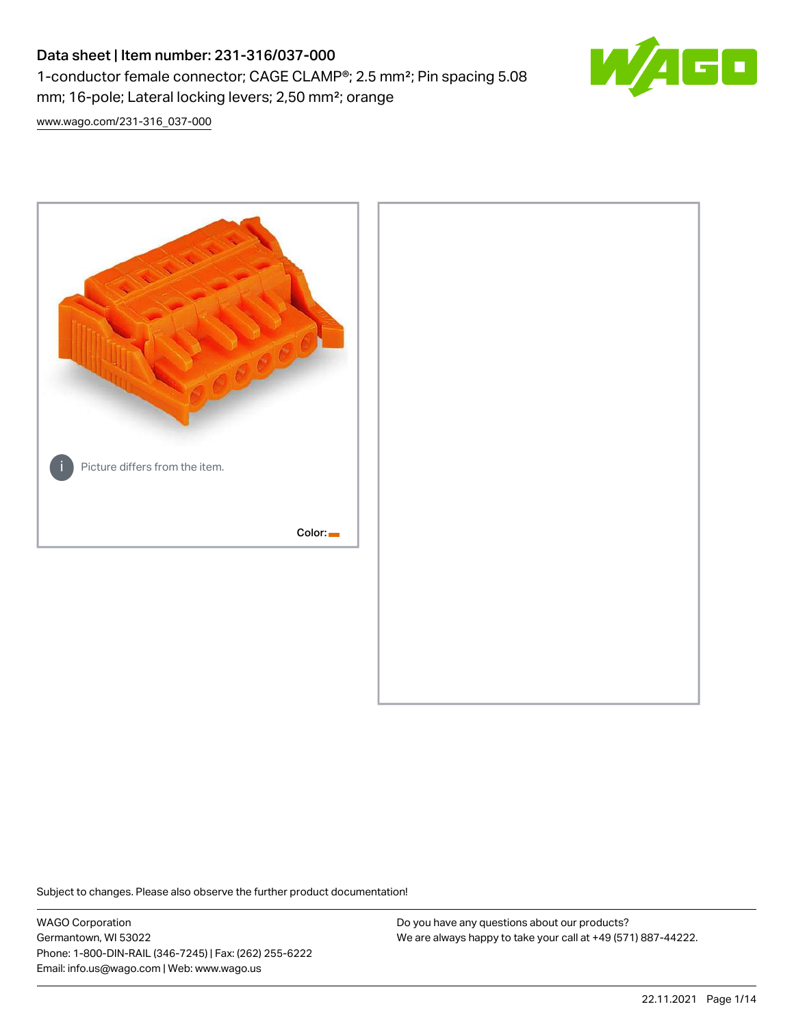# Data sheet | Item number: 231-316/037-000 1-conductor female connector; CAGE CLAMP®; 2.5 mm²; Pin spacing 5.08 mm; 16-pole; Lateral locking levers; 2,50 mm²; orange



[www.wago.com/231-316\\_037-000](http://www.wago.com/231-316_037-000)



Subject to changes. Please also observe the further product documentation!

WAGO Corporation Germantown, WI 53022 Phone: 1-800-DIN-RAIL (346-7245) | Fax: (262) 255-6222 Email: info.us@wago.com | Web: www.wago.us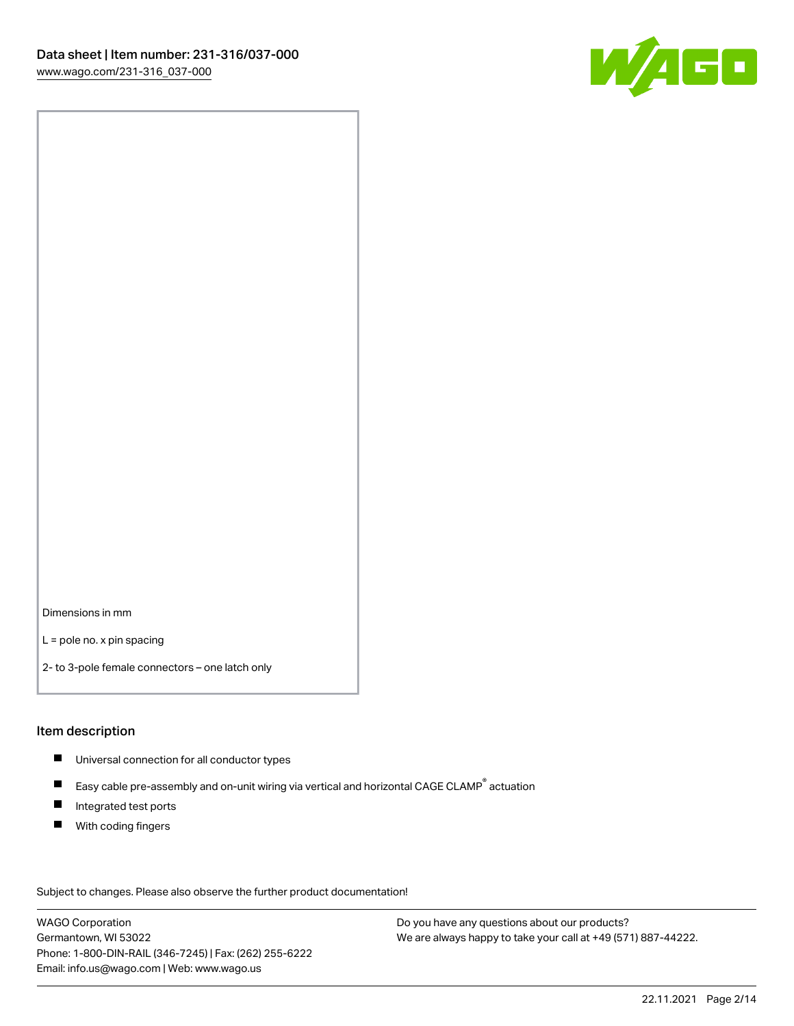

Dimensions in mm

L = pole no. x pin spacing

2- to 3-pole female connectors – one latch only

#### Item description

- **Universal connection for all conductor types**
- Easy cable pre-assembly and on-unit wiring via vertical and horizontal CAGE CLAMP<sup>®</sup> actuation  $\blacksquare$
- $\blacksquare$ Integrated test ports
- $\blacksquare$ With coding fingers

Subject to changes. Please also observe the further product documentation! Data

WAGO Corporation Germantown, WI 53022 Phone: 1-800-DIN-RAIL (346-7245) | Fax: (262) 255-6222 Email: info.us@wago.com | Web: www.wago.us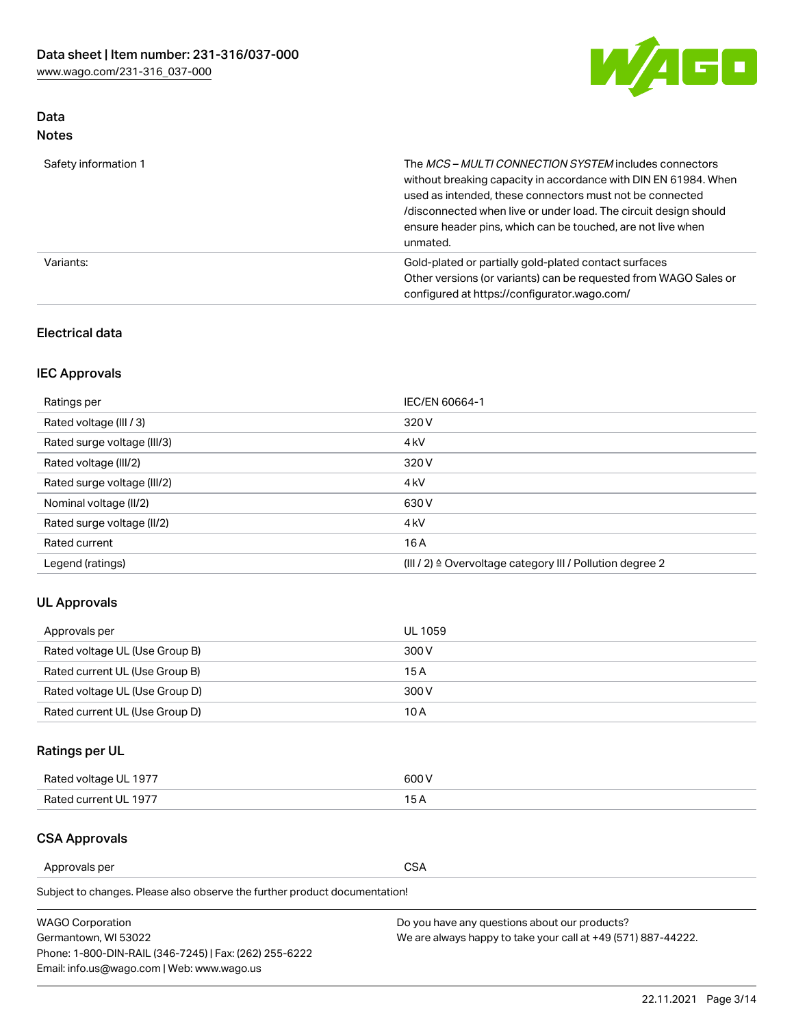

## Data Notes

| Safety information 1 | The MCS-MULTI CONNECTION SYSTEM includes connectors<br>without breaking capacity in accordance with DIN EN 61984. When<br>used as intended, these connectors must not be connected<br>/disconnected when live or under load. The circuit design should<br>ensure header pins, which can be touched, are not live when<br>unmated. |
|----------------------|-----------------------------------------------------------------------------------------------------------------------------------------------------------------------------------------------------------------------------------------------------------------------------------------------------------------------------------|
| Variants:            | Gold-plated or partially gold-plated contact surfaces<br>Other versions (or variants) can be requested from WAGO Sales or<br>configured at https://configurator.wago.com/                                                                                                                                                         |

#### Electrical data

## IEC Approvals

| Ratings per                 | IEC/EN 60664-1                                                        |
|-----------------------------|-----------------------------------------------------------------------|
| Rated voltage (III / 3)     | 320 V                                                                 |
| Rated surge voltage (III/3) | 4 <sub>k</sub> V                                                      |
| Rated voltage (III/2)       | 320 V                                                                 |
| Rated surge voltage (III/2) | 4 <sub>k</sub> V                                                      |
| Nominal voltage (II/2)      | 630 V                                                                 |
| Rated surge voltage (II/2)  | 4 <sub>k</sub> V                                                      |
| Rated current               | 16 A                                                                  |
| Legend (ratings)            | $(III / 2)$ $\triangle$ Overvoltage category III / Pollution degree 2 |

#### UL Approvals

| Approvals per                  | UL 1059 |
|--------------------------------|---------|
| Rated voltage UL (Use Group B) | 300 V   |
| Rated current UL (Use Group B) | 15 A    |
| Rated voltage UL (Use Group D) | 300 V   |
| Rated current UL (Use Group D) | 10 A    |

# Ratings per UL

| Rated voltage UL 1977 | 600 V         |
|-----------------------|---------------|
| Rated current UL 1977 | $\sim$ $\sim$ |

## CSA Approvals

Approvals per CSA

Subject to changes. Please also observe the further product documentation!

| <b>WAGO Corporation</b>                                | Do you have any questions about our products?                 |
|--------------------------------------------------------|---------------------------------------------------------------|
| Germantown, WI 53022                                   | We are always happy to take your call at +49 (571) 887-44222. |
| Phone: 1-800-DIN-RAIL (346-7245)   Fax: (262) 255-6222 |                                                               |
| Email: info.us@wago.com   Web: www.wago.us             |                                                               |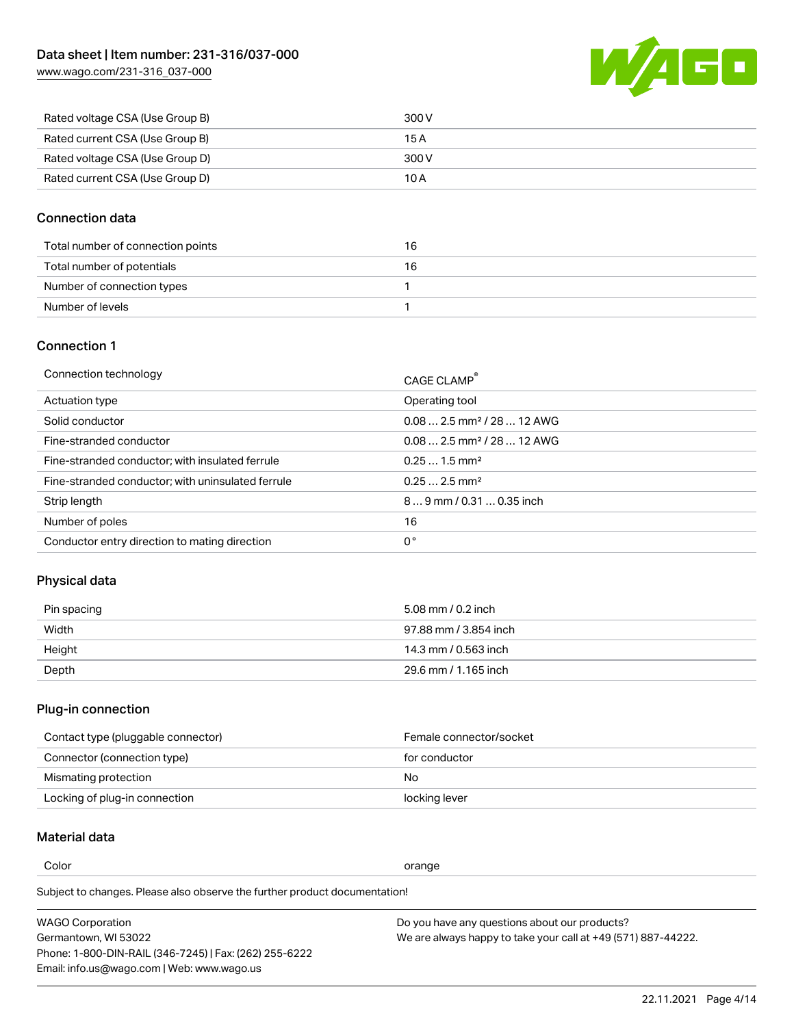[www.wago.com/231-316\\_037-000](http://www.wago.com/231-316_037-000)



| Rated voltage CSA (Use Group B) | 300 V |
|---------------------------------|-------|
| Rated current CSA (Use Group B) | 15 A  |
| Rated voltage CSA (Use Group D) | 300 V |
| Rated current CSA (Use Group D) | 10 A  |

#### Connection data

| Total number of connection points | 16 |
|-----------------------------------|----|
| Total number of potentials        | 16 |
| Number of connection types        |    |
| Number of levels                  |    |

#### Connection 1

| Connection technology                             | CAGE CLAMP®                             |
|---------------------------------------------------|-----------------------------------------|
| Actuation type                                    | Operating tool                          |
| Solid conductor                                   | $0.082.5$ mm <sup>2</sup> / 28  12 AWG  |
| Fine-stranded conductor                           | $0.08$ 2.5 mm <sup>2</sup> / 28  12 AWG |
| Fine-stranded conductor; with insulated ferrule   | $0.251.5$ mm <sup>2</sup>               |
| Fine-stranded conductor; with uninsulated ferrule | $0.252.5$ mm <sup>2</sup>               |
| Strip length                                      | $89$ mm $/ 0.310.35$ inch               |
| Number of poles                                   | 16                                      |
| Conductor entry direction to mating direction     | 0°                                      |

### Physical data

| Pin spacing | 5.08 mm / 0.2 inch    |
|-------------|-----------------------|
| Width       | 97.88 mm / 3.854 inch |
| Height      | 14.3 mm / 0.563 inch  |
| Depth       | 29.6 mm / 1.165 inch  |

# Plug-in connection

| Contact type (pluggable connector) | Female connector/socket |
|------------------------------------|-------------------------|
| Connector (connection type)        | for conductor           |
| Mismating protection               | No.                     |
| Locking of plug-in connection      | locking lever           |

## Material data

Color contracts and contracts of the contracts of the contracts of the contracts of the contracts of the contracts of the contracts of the contracts of the contracts of the contracts of the contracts of the contracts of th

Subject to changes. Please also observe the further product documentation! Material group I

| <b>WAGO Corporation</b>                                | Do you have any questions about our products?                 |
|--------------------------------------------------------|---------------------------------------------------------------|
| Germantown, WI 53022                                   | We are always happy to take your call at +49 (571) 887-44222. |
| Phone: 1-800-DIN-RAIL (346-7245)   Fax: (262) 255-6222 |                                                               |
| Email: info.us@wago.com   Web: www.wago.us             |                                                               |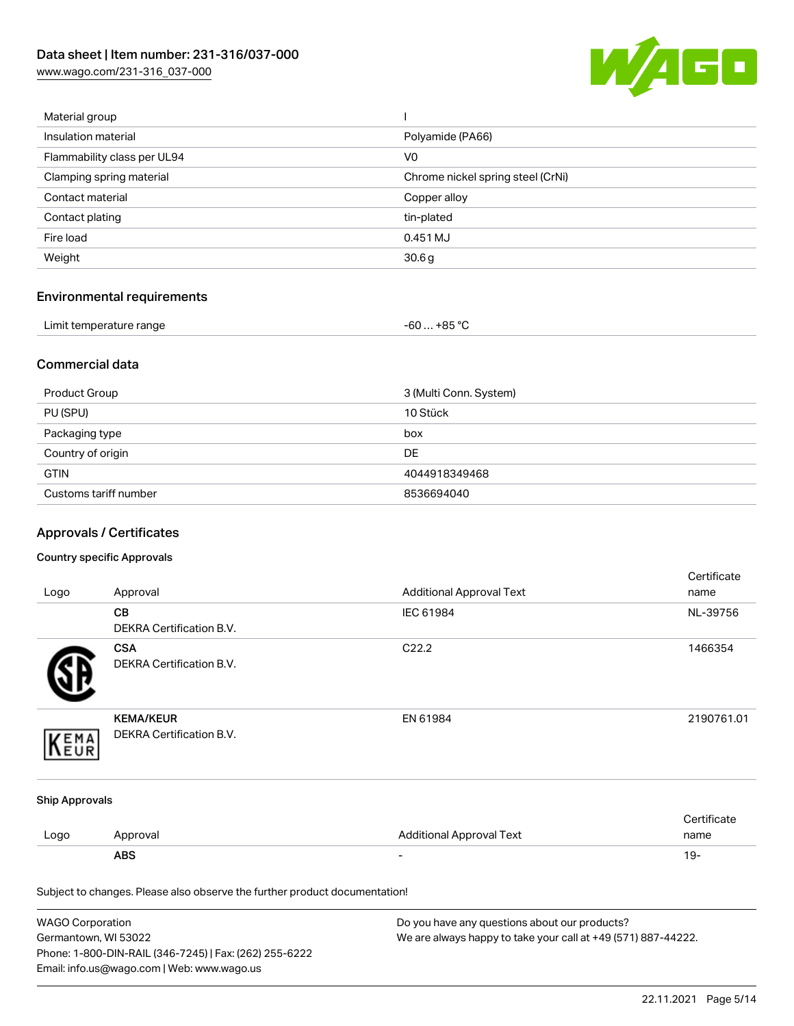[www.wago.com/231-316\\_037-000](http://www.wago.com/231-316_037-000)



| Material group              |                                   |
|-----------------------------|-----------------------------------|
| Insulation material         | Polyamide (PA66)                  |
| Flammability class per UL94 | V <sub>0</sub>                    |
| Clamping spring material    | Chrome nickel spring steel (CrNi) |
| Contact material            | Copper alloy                      |
| Contact plating             | tin-plated                        |
| Fire load                   | 0.451 MJ                          |
| Weight                      | 30.6 <sub>g</sub>                 |
|                             |                                   |

# Environmental requirements

| Limit temperature range<br>. | ,+85 °ົ<br>-60 |  |
|------------------------------|----------------|--|
|------------------------------|----------------|--|

#### Commercial data

| Product Group         | 3 (Multi Conn. System) |
|-----------------------|------------------------|
| PU (SPU)              | 10 Stück               |
| Packaging type        | box                    |
| Country of origin     | <b>DE</b>              |
| <b>GTIN</b>           | 4044918349468          |
| Customs tariff number | 8536694040             |

# Approvals / Certificates

#### Country specific Approvals

| Logo                  | Approval                                                                   | <b>Additional Approval Text</b> | Certificate<br>name |
|-----------------------|----------------------------------------------------------------------------|---------------------------------|---------------------|
|                       | CВ<br>DEKRA Certification B.V.                                             | IEC 61984                       | NL-39756            |
|                       | <b>CSA</b><br><b>DEKRA Certification B.V.</b>                              | C22.2                           | 1466354             |
| EMA                   | <b>KEMA/KEUR</b><br>DEKRA Certification B.V.                               | EN 61984                        | 2190761.01          |
| <b>Ship Approvals</b> |                                                                            |                                 |                     |
| Logo                  | Approval                                                                   | <b>Additional Approval Text</b> | Certificate<br>name |
|                       | <b>ABS</b>                                                                 |                                 | $19 -$              |
|                       | Subject to changes. Please also observe the further product documentation! |                                 |                     |

| <b>WAGO Corporation</b>                                | Do you have any questions about our products?                 |
|--------------------------------------------------------|---------------------------------------------------------------|
| Germantown, WI 53022                                   | We are always happy to take your call at +49 (571) 887-44222. |
| Phone: 1-800-DIN-RAIL (346-7245)   Fax: (262) 255-6222 |                                                               |
| Email: info.us@wago.com   Web: www.wago.us             |                                                               |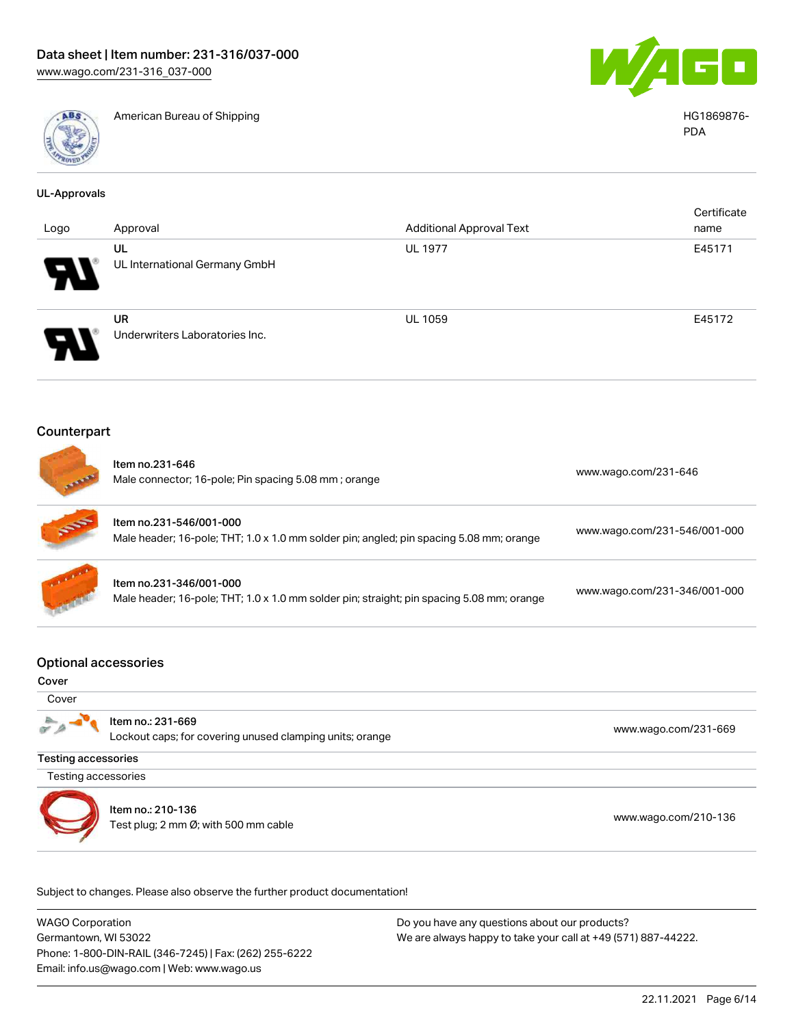

American Bureau of Shipping HG1869876-



PDA

| <b>UL-Approvals</b>        |                                                                                                                    |                                                                                           |                              |
|----------------------------|--------------------------------------------------------------------------------------------------------------------|-------------------------------------------------------------------------------------------|------------------------------|
| Logo                       | Approval                                                                                                           | <b>Additional Approval Text</b>                                                           | Certificate<br>name          |
|                            | UL<br>UL International Germany GmbH                                                                                | <b>UL 1977</b>                                                                            | E45171                       |
|                            | <b>UR</b><br>Underwriters Laboratories Inc.                                                                        | UL 1059                                                                                   | E45172                       |
| Counterpart                |                                                                                                                    |                                                                                           |                              |
|                            | Item no.231-646<br>Male connector; 16-pole; Pin spacing 5.08 mm; orange                                            |                                                                                           | www.wago.com/231-646         |
|                            | Item no.231-546/001-000<br>Male header; 16-pole; THT; 1.0 x 1.0 mm solder pin; angled; pin spacing 5.08 mm; orange |                                                                                           | www.wago.com/231-546/001-000 |
|                            | Item no.231-346/001-000                                                                                            | Male header; 16-pole; THT; 1.0 x 1.0 mm solder pin; straight; pin spacing 5.08 mm; orange |                              |
|                            | <b>Optional accessories</b>                                                                                        |                                                                                           |                              |
| Cover<br>Cover             |                                                                                                                    |                                                                                           |                              |
|                            | Item no.: 231-669<br>Lockout caps; for covering unused clamping units; orange                                      |                                                                                           | www.wago.com/231-669         |
| <b>Testing accessories</b> |                                                                                                                    |                                                                                           |                              |
| Testing accessories        |                                                                                                                    |                                                                                           |                              |
|                            | Item no.: 210-136<br>Test plug; 2 mm Ø; with 500 mm cable                                                          |                                                                                           | www.wago.com/210-136         |

WAGO Corporation Germantown, WI 53022 Phone: 1-800-DIN-RAIL (346-7245) | Fax: (262) 255-6222

Email: info.us@wago.com | Web: www.wago.us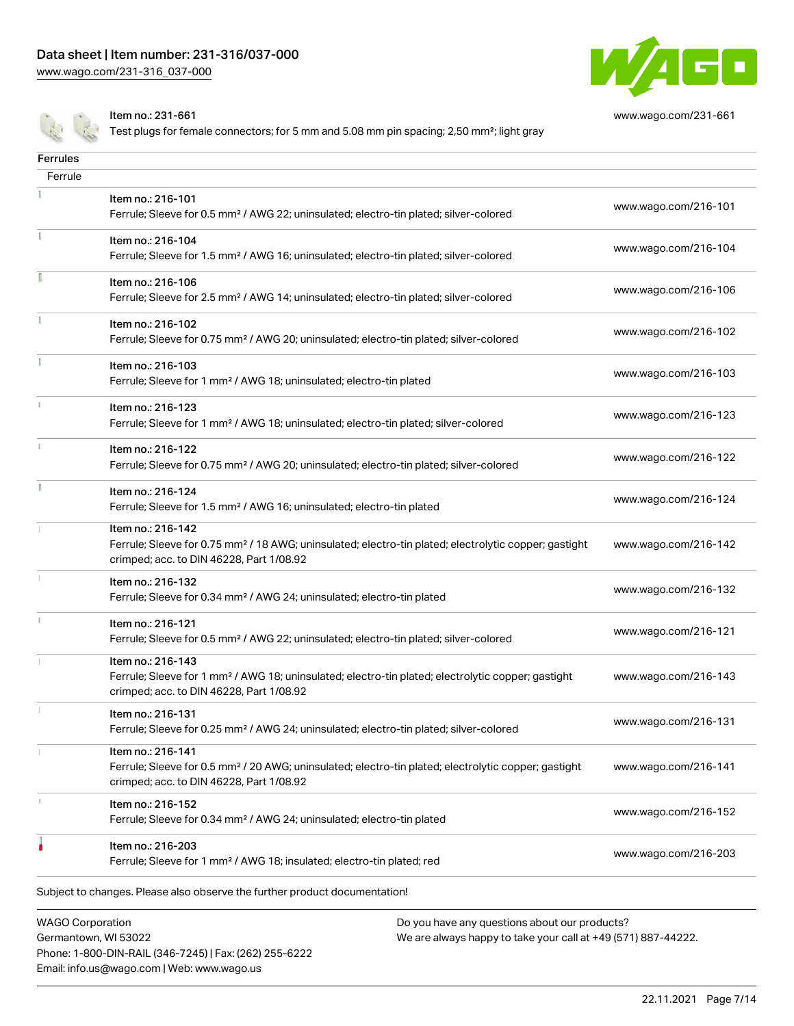

[www.wago.com/231-661](http://www.wago.com/231-661)

Item no.: 231-661

 $F = 1$ 

Email: info.us@wago.com | Web: www.wago.us

Test plugs for female connectors; for 5 mm and 5.08 mm pin spacing; 2,50 mm<sup>2</sup>; light gray

| <b>rerrules</b><br>Ferrule |                                                                                                                                                                                    |                      |
|----------------------------|------------------------------------------------------------------------------------------------------------------------------------------------------------------------------------|----------------------|
|                            | Item no.: 216-101<br>Ferrule; Sleeve for 0.5 mm <sup>2</sup> / AWG 22; uninsulated; electro-tin plated; silver-colored                                                             | www.wago.com/216-101 |
|                            | Item no.: 216-104                                                                                                                                                                  | www.wago.com/216-104 |
|                            | Ferrule; Sleeve for 1.5 mm <sup>2</sup> / AWG 16; uninsulated; electro-tin plated; silver-colored                                                                                  |                      |
|                            | Item no.: 216-106<br>Ferrule; Sleeve for 2.5 mm <sup>2</sup> / AWG 14; uninsulated; electro-tin plated; silver-colored                                                             | www.wago.com/216-106 |
|                            | Item no.: 216-102<br>Ferrule; Sleeve for 0.75 mm <sup>2</sup> / AWG 20; uninsulated; electro-tin plated; silver-colored                                                            | www.wago.com/216-102 |
|                            | Item no.: 216-103<br>Ferrule; Sleeve for 1 mm <sup>2</sup> / AWG 18; uninsulated; electro-tin plated                                                                               | www.wago.com/216-103 |
|                            | Item no.: 216-123<br>Ferrule; Sleeve for 1 mm <sup>2</sup> / AWG 18; uninsulated; electro-tin plated; silver-colored                                                               | www.wago.com/216-123 |
|                            | Item no.: 216-122<br>Ferrule; Sleeve for 0.75 mm <sup>2</sup> / AWG 20; uninsulated; electro-tin plated; silver-colored                                                            | www.wago.com/216-122 |
|                            | Item no.: 216-124<br>Ferrule; Sleeve for 1.5 mm <sup>2</sup> / AWG 16; uninsulated; electro-tin plated                                                                             | www.wago.com/216-124 |
|                            | Item no.: 216-142<br>Ferrule; Sleeve for 0.75 mm <sup>2</sup> / 18 AWG; uninsulated; electro-tin plated; electrolytic copper; gastight<br>crimped; acc. to DIN 46228, Part 1/08.92 | www.wago.com/216-142 |
|                            | Item no.: 216-132<br>Ferrule; Sleeve for 0.34 mm <sup>2</sup> / AWG 24; uninsulated; electro-tin plated                                                                            | www.wago.com/216-132 |
|                            | Item no.: 216-121<br>Ferrule; Sleeve for 0.5 mm <sup>2</sup> / AWG 22; uninsulated; electro-tin plated; silver-colored                                                             | www.wago.com/216-121 |
|                            | Item no.: 216-143<br>Ferrule; Sleeve for 1 mm <sup>2</sup> / AWG 18; uninsulated; electro-tin plated; electrolytic copper; gastight<br>crimped; acc. to DIN 46228, Part 1/08.92    | www.wago.com/216-143 |
|                            | Item no.: 216-131<br>Ferrule; Sleeve for 0.25 mm <sup>2</sup> / AWG 24; uninsulated; electro-tin plated; silver-colored                                                            | www.wago.com/216-131 |
|                            | Item no.: 216-141<br>Ferrule; Sleeve for 0.5 mm <sup>2</sup> / 20 AWG; uninsulated; electro-tin plated; electrolytic copper; gastight<br>crimped; acc. to DIN 46228, Part 1/08.92  | www.wago.com/216-141 |
|                            | Item no.: 216-152<br>Ferrule; Sleeve for 0.34 mm <sup>2</sup> / AWG 24; uninsulated; electro-tin plated                                                                            | www.wago.com/216-152 |
|                            | Item no.: 216-203<br>Ferrule; Sleeve for 1 mm <sup>2</sup> / AWG 18; insulated; electro-tin plated; red                                                                            | www.wago.com/216-203 |
|                            | Subject to changes. Please also observe the further product documentation!                                                                                                         |                      |
| <b>WAGO Corporation</b>    | Do you have any questions about our products?                                                                                                                                      |                      |
|                            | Germantown, WI 53022<br>We are always happy to take your call at +49 (571) 887-44222.<br>Phone: 1-800-DIN-RAIL (346-7245)   Fax: (262) 255-6222                                    |                      |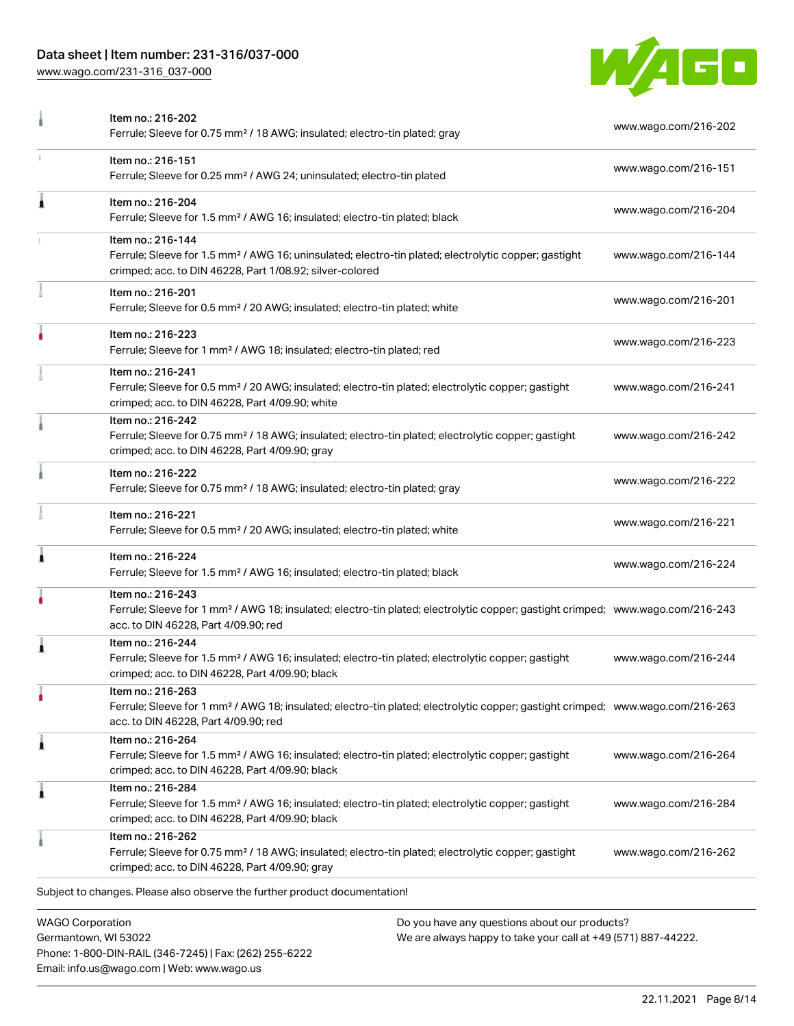## Data sheet | Item number: 231-316/037-000

Phone: 1-800-DIN-RAIL (346-7245) | Fax: (262) 255-6222

Email: info.us@wago.com | Web: www.wago.us

[www.wago.com/231-316\\_037-000](http://www.wago.com/231-316_037-000)



|                                                 | Item no.: 216-202<br>Ferrule; Sleeve for 0.75 mm <sup>2</sup> / 18 AWG; insulated; electro-tin plated; gray                                                                                             |                                                                                                                | www.wago.com/216-202 |
|-------------------------------------------------|---------------------------------------------------------------------------------------------------------------------------------------------------------------------------------------------------------|----------------------------------------------------------------------------------------------------------------|----------------------|
|                                                 | Item no.: 216-151<br>Ferrule; Sleeve for 0.25 mm <sup>2</sup> / AWG 24; uninsulated; electro-tin plated                                                                                                 |                                                                                                                | www.wago.com/216-151 |
| Ă                                               | Item no.: 216-204<br>Ferrule; Sleeve for 1.5 mm <sup>2</sup> / AWG 16; insulated; electro-tin plated; black                                                                                             |                                                                                                                | www.wago.com/216-204 |
|                                                 | Item no.: 216-144<br>Ferrule; Sleeve for 1.5 mm <sup>2</sup> / AWG 16; uninsulated; electro-tin plated; electrolytic copper; gastight<br>crimped; acc. to DIN 46228, Part 1/08.92; silver-colored       |                                                                                                                | www.wago.com/216-144 |
|                                                 | Item no.: 216-201<br>Ferrule; Sleeve for 0.5 mm <sup>2</sup> / 20 AWG; insulated; electro-tin plated; white                                                                                             |                                                                                                                | www.wago.com/216-201 |
|                                                 | Item no.: 216-223<br>Ferrule; Sleeve for 1 mm <sup>2</sup> / AWG 18; insulated; electro-tin plated; red                                                                                                 |                                                                                                                | www.wago.com/216-223 |
|                                                 | Item no.: 216-241<br>Ferrule; Sleeve for 0.5 mm <sup>2</sup> / 20 AWG; insulated; electro-tin plated; electrolytic copper; gastight<br>crimped; acc. to DIN 46228, Part 4/09.90; white                  |                                                                                                                | www.wago.com/216-241 |
|                                                 | Item no.: 216-242<br>Ferrule; Sleeve for 0.75 mm <sup>2</sup> / 18 AWG; insulated; electro-tin plated; electrolytic copper; gastight<br>crimped; acc. to DIN 46228, Part 4/09.90; gray                  |                                                                                                                | www.wago.com/216-242 |
|                                                 | Item no.: 216-222<br>Ferrule; Sleeve for 0.75 mm <sup>2</sup> / 18 AWG; insulated; electro-tin plated; gray                                                                                             |                                                                                                                | www.wago.com/216-222 |
|                                                 | Item no.: 216-221<br>Ferrule; Sleeve for 0.5 mm <sup>2</sup> / 20 AWG; insulated; electro-tin plated; white                                                                                             |                                                                                                                | www.wago.com/216-221 |
|                                                 | Item no.: 216-224<br>Ferrule; Sleeve for 1.5 mm <sup>2</sup> / AWG 16; insulated; electro-tin plated; black                                                                                             |                                                                                                                | www.wago.com/216-224 |
|                                                 | Item no.: 216-243<br>Ferrule; Sleeve for 1 mm <sup>2</sup> / AWG 18; insulated; electro-tin plated; electrolytic copper; gastight crimped; www.wago.com/216-243<br>acc. to DIN 46228, Part 4/09.90; red |                                                                                                                |                      |
|                                                 | Item no.: 216-244<br>Ferrule; Sleeve for 1.5 mm <sup>2</sup> / AWG 16; insulated; electro-tin plated; electrolytic copper; gastight<br>crimped; acc. to DIN 46228, Part 4/09.90; black                  |                                                                                                                | www.wago.com/216-244 |
| ٠                                               | Item no.: 216-263<br>Ferrule; Sleeve for 1 mm <sup>2</sup> / AWG 18; insulated; electro-tin plated; electrolytic copper; gastight crimped; www.wago.com/216-263<br>acc. to DIN 46228, Part 4/09.90; red |                                                                                                                |                      |
| Â                                               | Item no.: 216-264<br>Ferrule; Sleeve for 1.5 mm <sup>2</sup> / AWG 16; insulated; electro-tin plated; electrolytic copper; gastight<br>crimped; acc. to DIN 46228, Part 4/09.90; black                  |                                                                                                                | www.wago.com/216-264 |
| Â                                               | Item no.: 216-284<br>Ferrule; Sleeve for 1.5 mm <sup>2</sup> / AWG 16; insulated; electro-tin plated; electrolytic copper; gastight<br>crimped; acc. to DIN 46228, Part 4/09.90; black                  |                                                                                                                | www.wago.com/216-284 |
|                                                 | Item no.: 216-262<br>Ferrule; Sleeve for 0.75 mm <sup>2</sup> / 18 AWG; insulated; electro-tin plated; electrolytic copper; gastight<br>crimped; acc. to DIN 46228, Part 4/09.90; gray                  |                                                                                                                | www.wago.com/216-262 |
|                                                 | Subject to changes. Please also observe the further product documentation!                                                                                                                              |                                                                                                                |                      |
| <b>WAGO Corporation</b><br>Germantown, WI 53022 |                                                                                                                                                                                                         | Do you have any questions about our products?<br>We are always happy to take your call at +49 (571) 887-44222. |                      |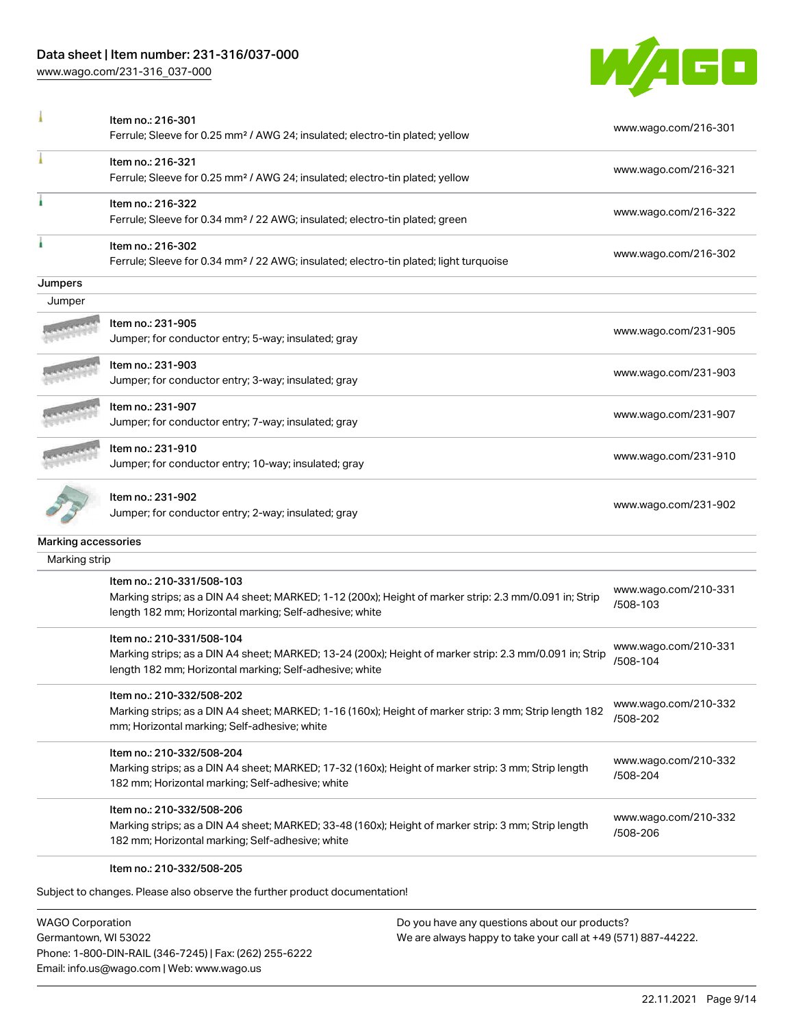#### Data sheet | Item number: 231-316/037-000

[www.wago.com/231-316\\_037-000](http://www.wago.com/231-316_037-000)



|                     | Item no.: 216-301<br>Ferrule; Sleeve for 0.25 mm <sup>2</sup> / AWG 24; insulated; electro-tin plated; yellow                                                                                   | www.wago.com/216-301             |
|---------------------|-------------------------------------------------------------------------------------------------------------------------------------------------------------------------------------------------|----------------------------------|
|                     | Item no.: 216-321<br>Ferrule; Sleeve for 0.25 mm <sup>2</sup> / AWG 24; insulated; electro-tin plated; yellow                                                                                   | www.wago.com/216-321             |
|                     | Item no.: 216-322<br>Ferrule; Sleeve for 0.34 mm <sup>2</sup> / 22 AWG; insulated; electro-tin plated; green                                                                                    | www.wago.com/216-322             |
|                     | Item no.: 216-302<br>Ferrule; Sleeve for 0.34 mm <sup>2</sup> / 22 AWG; insulated; electro-tin plated; light turquoise                                                                          | www.wago.com/216-302             |
| Jumpers             |                                                                                                                                                                                                 |                                  |
| Jumper              |                                                                                                                                                                                                 |                                  |
|                     | Item no.: 231-905<br>Jumper; for conductor entry; 5-way; insulated; gray                                                                                                                        | www.wago.com/231-905             |
|                     | Item no.: 231-903<br>Jumper; for conductor entry; 3-way; insulated; gray                                                                                                                        | www.wago.com/231-903             |
|                     | Item no.: 231-907<br>Jumper; for conductor entry; 7-way; insulated; gray                                                                                                                        | www.wago.com/231-907             |
|                     | Item no.: 231-910<br>Jumper; for conductor entry; 10-way; insulated; gray                                                                                                                       | www.wago.com/231-910             |
|                     | Item no.: 231-902<br>Jumper; for conductor entry; 2-way; insulated; gray                                                                                                                        | www.wago.com/231-902             |
| Marking accessories |                                                                                                                                                                                                 |                                  |
| Marking strip       |                                                                                                                                                                                                 |                                  |
|                     | Item no.: 210-331/508-103<br>Marking strips; as a DIN A4 sheet; MARKED; 1-12 (200x); Height of marker strip: 2.3 mm/0.091 in; Strip<br>length 182 mm; Horizontal marking; Self-adhesive; white  | www.wago.com/210-331<br>/508-103 |
|                     | Item no.: 210-331/508-104<br>Marking strips; as a DIN A4 sheet; MARKED; 13-24 (200x); Height of marker strip: 2.3 mm/0.091 in; Strip<br>length 182 mm; Horizontal marking; Self-adhesive; white | www.wago.com/210-331<br>/508-104 |
|                     | Item no.: 210-332/508-202<br>Marking strips; as a DIN A4 sheet; MARKED; 1-16 (160x); Height of marker strip: 3 mm; Strip length 182<br>mm; Horizontal marking; Self-adhesive; white             | www.wago.com/210-332<br>/508-202 |
|                     | Item no.: 210-332/508-204<br>Marking strips; as a DIN A4 sheet; MARKED; 17-32 (160x); Height of marker strip: 3 mm; Strip length<br>182 mm; Horizontal marking; Self-adhesive; white            | www.wago.com/210-332<br>/508-204 |
|                     | Item no.: 210-332/508-206<br>Marking strips; as a DIN A4 sheet; MARKED; 33-48 (160x); Height of marker strip: 3 mm; Strip length<br>182 mm; Horizontal marking; Self-adhesive; white            | www.wago.com/210-332<br>/508-206 |
|                     | Item no.: 210-332/508-205                                                                                                                                                                       |                                  |

Subject to changes. Please also observe the further product documentation!

WAGO Corporation Germantown, WI 53022 Phone: 1-800-DIN-RAIL (346-7245) | Fax: (262) 255-6222 Email: info.us@wago.com | Web: www.wago.us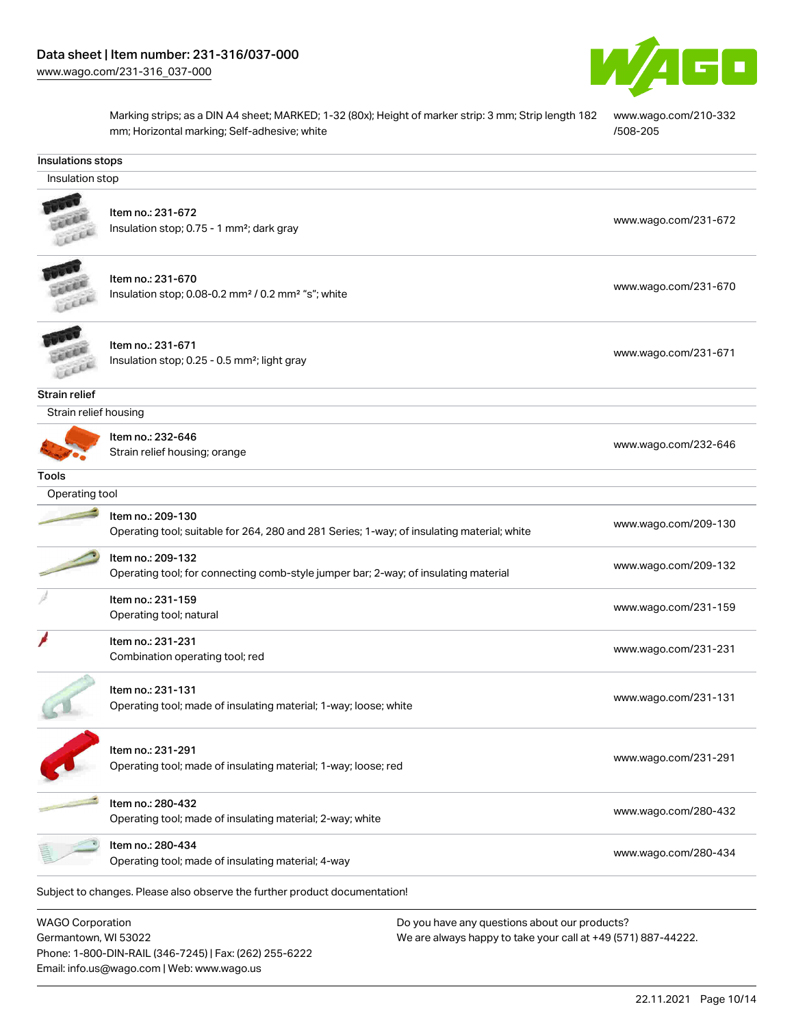Phone: 1-800-DIN-RAIL (346-7245) | Fax: (262) 255-6222

Email: info.us@wago.com | Web: www.wago.us



Marking strips; as a DIN A4 sheet; MARKED; 1-32 (80x); Height of marker strip: 3 mm; Strip length 182 mm; Horizontal marking; Self-adhesive; white [www.wago.com/210-332](http://www.wago.com/210-332/508-205) [/508-205](http://www.wago.com/210-332/508-205)

| Insulations stops                               |                                                                                                                 |                                                                                                                |
|-------------------------------------------------|-----------------------------------------------------------------------------------------------------------------|----------------------------------------------------------------------------------------------------------------|
| Insulation stop                                 |                                                                                                                 |                                                                                                                |
|                                                 | Item no.: 231-672<br>Insulation stop; 0.75 - 1 mm <sup>2</sup> ; dark gray                                      | www.wago.com/231-672                                                                                           |
|                                                 | Item no.: 231-670<br>Insulation stop; 0.08-0.2 mm <sup>2</sup> / 0.2 mm <sup>2</sup> "s"; white                 | www.wago.com/231-670                                                                                           |
|                                                 | Item no.: 231-671<br>Insulation stop; 0.25 - 0.5 mm <sup>2</sup> ; light gray                                   | www.wago.com/231-671                                                                                           |
| Strain relief                                   |                                                                                                                 |                                                                                                                |
| Strain relief housing                           |                                                                                                                 |                                                                                                                |
|                                                 | Item no.: 232-646<br>Strain relief housing; orange                                                              | www.wago.com/232-646                                                                                           |
| <b>Tools</b>                                    |                                                                                                                 |                                                                                                                |
| Operating tool                                  |                                                                                                                 |                                                                                                                |
|                                                 | Item no.: 209-130<br>Operating tool; suitable for 264, 280 and 281 Series; 1-way; of insulating material; white | www.wago.com/209-130                                                                                           |
|                                                 | Item no.: 209-132<br>Operating tool; for connecting comb-style jumper bar; 2-way; of insulating material        | www.wago.com/209-132                                                                                           |
|                                                 | Item no.: 231-159<br>Operating tool; natural                                                                    | www.wago.com/231-159                                                                                           |
|                                                 | Item no.: 231-231<br>Combination operating tool; red                                                            | www.wago.com/231-231                                                                                           |
|                                                 | Item no.: 231-131<br>Operating tool; made of insulating material; 1-way; loose; white                           | www.wago.com/231-131                                                                                           |
|                                                 | Item no.: 231-291<br>Operating tool; made of insulating material; 1-way; loose; red                             | www.wago.com/231-291                                                                                           |
|                                                 | Item no.: 280-432<br>Operating tool; made of insulating material; 2-way; white                                  | www.wago.com/280-432                                                                                           |
|                                                 | Item no.: 280-434<br>Operating tool; made of insulating material; 4-way                                         | www.wago.com/280-434                                                                                           |
|                                                 | Subject to changes. Please also observe the further product documentation!                                      |                                                                                                                |
| <b>WAGO Corporation</b><br>Germantown, WI 53022 |                                                                                                                 | Do you have any questions about our products?<br>We are always happy to take your call at +49 (571) 887-44222. |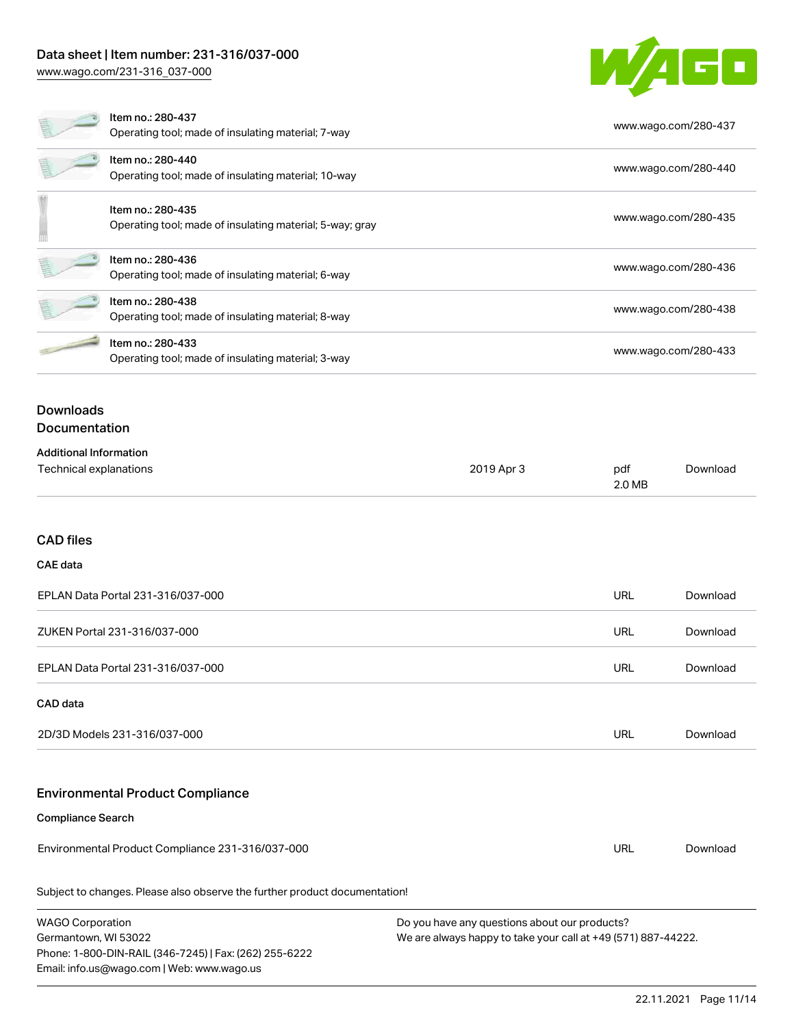# Data sheet | Item number: 231-316/037-000

Phone: 1-800-DIN-RAIL (346-7245) | Fax: (262) 255-6222

Email: info.us@wago.com | Web: www.wago.us

[www.wago.com/231-316\\_037-000](http://www.wago.com/231-316_037-000)



|                                                         | Item no.: 280-437<br>Operating tool; made of insulating material; 7-way       |                                                                                                                |               | www.wago.com/280-437 |
|---------------------------------------------------------|-------------------------------------------------------------------------------|----------------------------------------------------------------------------------------------------------------|---------------|----------------------|
|                                                         | Item no.: 280-440<br>Operating tool; made of insulating material; 10-way      |                                                                                                                |               | www.wago.com/280-440 |
|                                                         | Item no.: 280-435<br>Operating tool; made of insulating material; 5-way; gray |                                                                                                                |               | www.wago.com/280-435 |
|                                                         | Item no.: 280-436<br>Operating tool; made of insulating material; 6-way       |                                                                                                                |               | www.wago.com/280-436 |
|                                                         | Item no.: 280-438<br>Operating tool; made of insulating material; 8-way       |                                                                                                                |               | www.wago.com/280-438 |
|                                                         | Item no.: 280-433<br>Operating tool; made of insulating material; 3-way       |                                                                                                                |               | www.wago.com/280-433 |
| <b>Downloads</b><br>Documentation                       |                                                                               |                                                                                                                |               |                      |
| <b>Additional Information</b><br>Technical explanations |                                                                               | 2019 Apr 3                                                                                                     | pdf<br>2.0 MB | Download             |
| <b>CAD files</b>                                        |                                                                               |                                                                                                                |               |                      |
| <b>CAE</b> data                                         |                                                                               |                                                                                                                |               |                      |
|                                                         | EPLAN Data Portal 231-316/037-000                                             |                                                                                                                | URL           | Download             |
|                                                         | ZUKEN Portal 231-316/037-000                                                  |                                                                                                                | URL           | Download             |
|                                                         | EPLAN Data Portal 231-316/037-000                                             |                                                                                                                | URL           | Download             |
| CAD data                                                |                                                                               |                                                                                                                |               |                      |
|                                                         | 2D/3D Models 231-316/037-000                                                  |                                                                                                                | <b>URL</b>    | Download             |
|                                                         | <b>Environmental Product Compliance</b>                                       |                                                                                                                |               |                      |
| <b>Compliance Search</b>                                |                                                                               |                                                                                                                |               |                      |
|                                                         | Environmental Product Compliance 231-316/037-000                              |                                                                                                                | URL           | Download             |
|                                                         | Subject to changes. Please also observe the further product documentation!    |                                                                                                                |               |                      |
| <b>WAGO Corporation</b><br>Germantown, WI 53022         |                                                                               | Do you have any questions about our products?<br>We are always happy to take your call at +49 (571) 887-44222. |               |                      |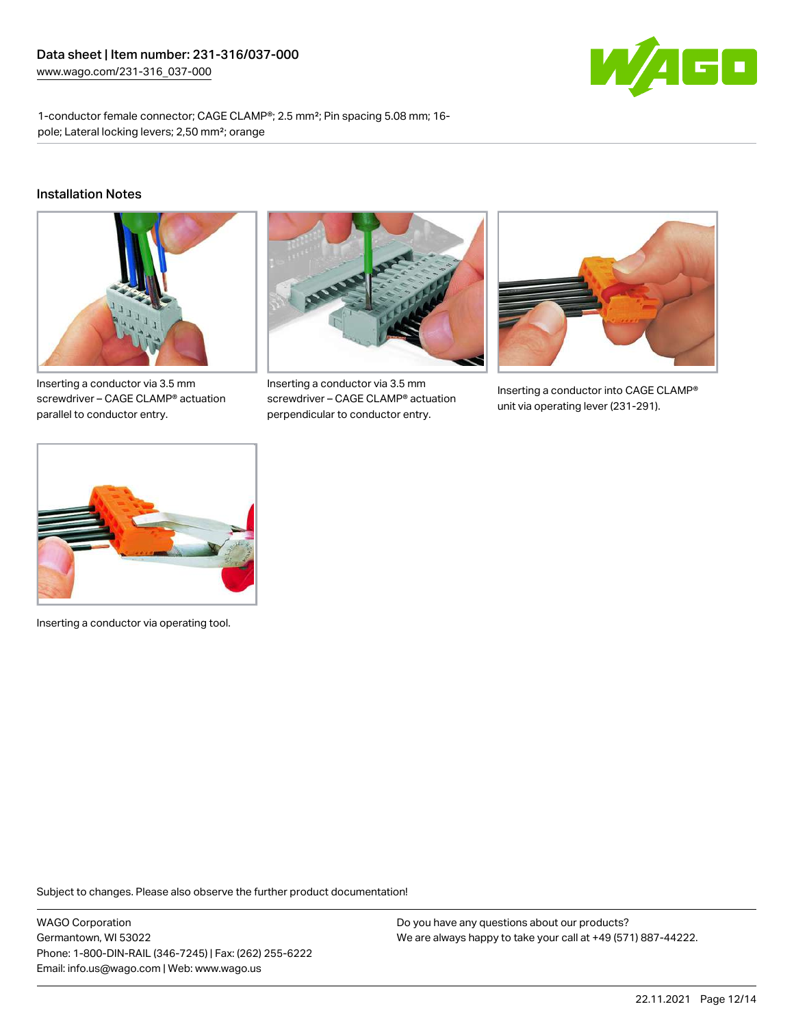

1-conductor female connector; CAGE CLAMP®; 2.5 mm²; Pin spacing 5.08 mm; 16 pole; Lateral locking levers; 2,50 mm²; orange

#### Installation Notes



Inserting a conductor via 3.5 mm screwdriver – CAGE CLAMP® actuation parallel to conductor entry.



Inserting a conductor via 3.5 mm screwdriver – CAGE CLAMP® actuation perpendicular to conductor entry.



Inserting a conductor into CAGE CLAMP® unit via operating lever (231-291).



Inserting a conductor via operating tool.

Subject to changes. Please also observe the further product documentation!

WAGO Corporation Germantown, WI 53022 Phone: 1-800-DIN-RAIL (346-7245) | Fax: (262) 255-6222 Email: info.us@wago.com | Web: www.wago.us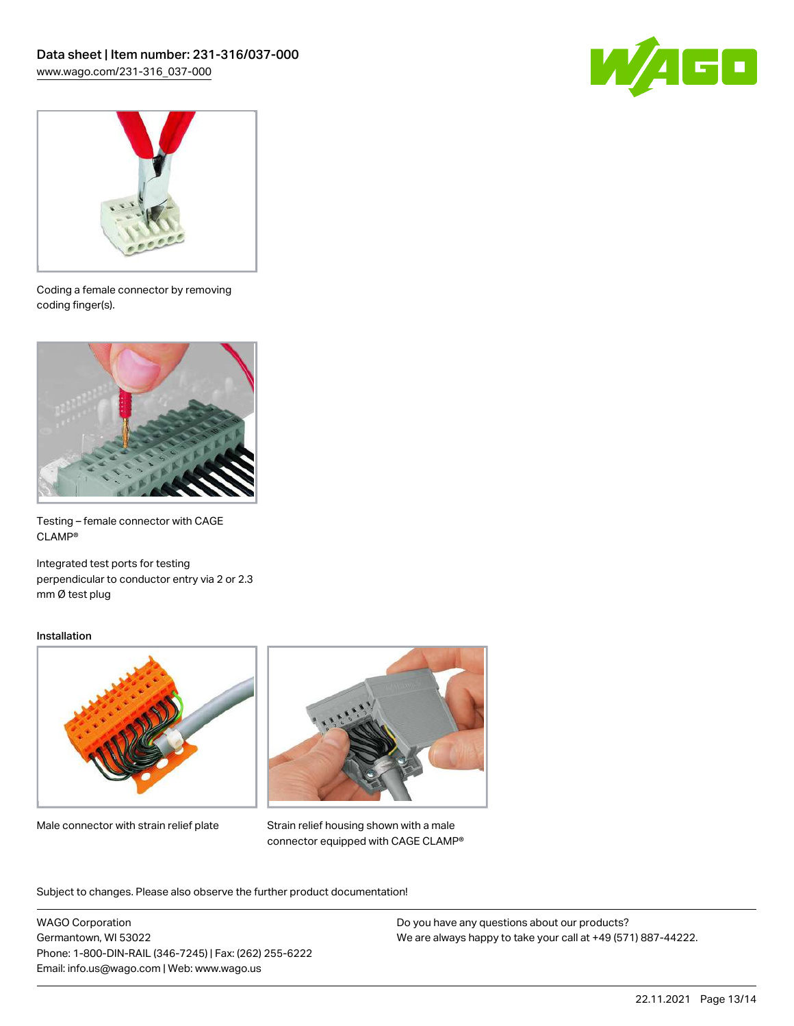



Coding a female connector by removing coding finger(s).



Testing – female connector with CAGE CLAMP®

Integrated test ports for testing perpendicular to conductor entry via 2 or 2.3 mm Ø test plug

#### Installation



Male connector with strain relief plate



Strain relief housing shown with a male connector equipped with CAGE CLAMP®

Subject to changes. Please also observe the further product documentation!

WAGO Corporation Germantown, WI 53022 Phone: 1-800-DIN-RAIL (346-7245) | Fax: (262) 255-6222 Email: info.us@wago.com | Web: www.wago.us